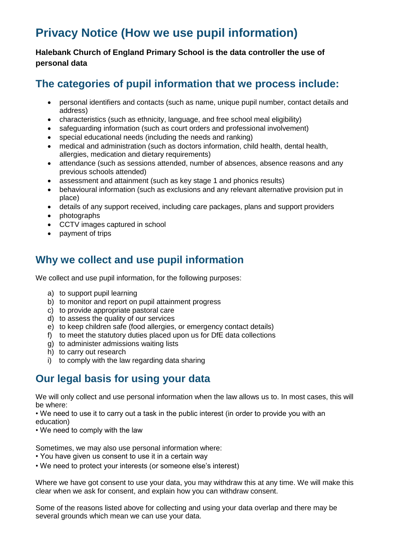# **Privacy Notice (How we use pupil information)**

**Halebank Church of England Primary School is the data controller the use of personal data**

# **The categories of pupil information that we process include:**

- personal identifiers and contacts (such as name, unique pupil number, contact details and address)
- characteristics (such as ethnicity, language, and free school meal eligibility)
- safeguarding information (such as court orders and professional involvement)
- special educational needs (including the needs and ranking)
- medical and administration (such as doctors information, child health, dental health, allergies, medication and dietary requirements)
- attendance (such as sessions attended, number of absences, absence reasons and any previous schools attended)
- assessment and attainment (such as key stage 1 and phonics results)
- behavioural information (such as exclusions and any relevant alternative provision put in place)
- details of any support received, including care packages, plans and support providers
- photographs
- CCTV images captured in school
- payment of trips

# **Why we collect and use pupil information**

We collect and use pupil information, for the following purposes:

- a) to support pupil learning
- b) to monitor and report on pupil attainment progress
- c) to provide appropriate pastoral care
- d) to assess the quality of our services
- e) to keep children safe (food allergies, or emergency contact details)
- f) to meet the statutory duties placed upon us for DfE data collections
- g) to administer admissions waiting lists
- h) to carry out research
- i) to comply with the law regarding data sharing

# **Our legal basis for using your data**

We will only collect and use personal information when the law allows us to. In most cases, this will be where:

• We need to use it to carry out a task in the public interest (in order to provide you with an education)

• We need to comply with the law

Sometimes, we may also use personal information where:

- You have given us consent to use it in a certain way
- We need to protect your interests (or someone else's interest)

Where we have got consent to use your data, you may withdraw this at any time. We will make this clear when we ask for consent, and explain how you can withdraw consent.

Some of the reasons listed above for collecting and using your data overlap and there may be several grounds which mean we can use your data.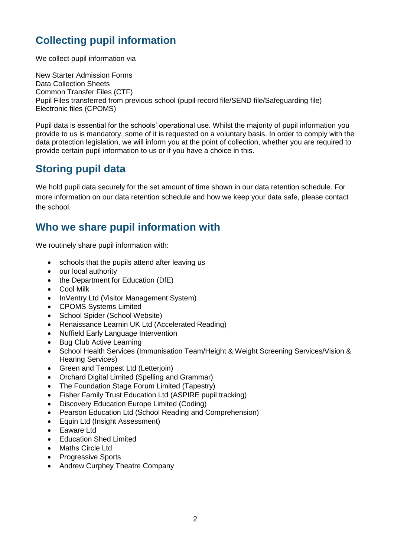# **Collecting pupil information**

We collect pupil information via

New Starter Admission Forms Data Collection Sheets Common Transfer Files (CTF) Pupil Files transferred from previous school (pupil record file/SEND file/Safeguarding file) Electronic files (CPOMS)

Pupil data is essential for the schools' operational use. Whilst the majority of pupil information you provide to us is mandatory, some of it is requested on a voluntary basis. In order to comply with the data protection legislation, we will inform you at the point of collection, whether you are required to provide certain pupil information to us or if you have a choice in this.

# **Storing pupil data**

We hold pupil data securely for the set amount of time shown in our data retention schedule. For more information on our data retention schedule and how we keep your data safe, please contact the school.

# **Who we share pupil information with**

We routinely share pupil information with:

- schools that the pupils attend after leaving us
- our local authority
- the Department for Education (DfE)
- Cool Milk
- InVentry Ltd (Visitor Management System)
- CPOMS Systems Limited
- School Spider (School Website)
- Renaissance Learnin UK Ltd (Accelerated Reading)
- Nuffield Early Language Intervention
- Bug Club Active Learning
- School Health Services (Immunisation Team/Height & Weight Screening Services/Vision & Hearing Services)
- Green and Tempest Ltd (Letterjoin)
- Orchard Digital Limited (Spelling and Grammar)
- The Foundation Stage Forum Limited (Tapestry)
- Fisher Family Trust Education Ltd (ASPIRE pupil tracking)
- Discovery Education Europe Limited (Coding)
- Pearson Education Ltd (School Reading and Comprehension)
- Equin Ltd (Insight Assessment)
- Eaware Ltd
- **•** Education Shed Limited
- Maths Circle Ltd
- Progressive Sports
- Andrew Curphey Theatre Company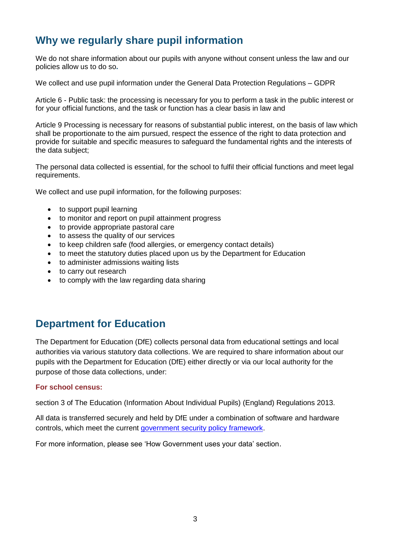# **Why we regularly share pupil information**

We do not share information about our pupils with anyone without consent unless the law and our policies allow us to do so**.** 

We collect and use pupil information under the General Data Protection Regulations – GDPR

Article 6 - Public task: the processing is necessary for you to perform a task in the public interest or for your official functions, and the task or function has a clear basis in law and

Article 9 Processing is necessary for reasons of substantial public interest, on the basis of law which shall be proportionate to the aim pursued, respect the essence of the right to data protection and provide for suitable and specific measures to safeguard the fundamental rights and the interests of the data subject;

The personal data collected is essential, for the school to fulfil their official functions and meet legal requirements.

We collect and use pupil information, for the following purposes:

- to support pupil learning
- to monitor and report on pupil attainment progress
- to provide appropriate pastoral care
- to assess the quality of our services
- to keep children safe (food allergies, or emergency contact details)
- to meet the statutory duties placed upon us by the Department for Education
- to administer admissions waiting lists
- to carry out research
- to comply with the law regarding data sharing

### **Department for Education**

The Department for Education (DfE) collects personal data from educational settings and local authorities via various statutory data collections. We are required to share information about our pupils with the Department for Education (DfE) either directly or via our local authority for the purpose of those data collections, under:

#### **For school census:**

section 3 of The Education (Information About Individual Pupils) (England) Regulations 2013.

All data is transferred securely and held by DfE under a combination of software and hardware controls, which meet the current [government security policy framework.](https://www.gov.uk/government/publications/security-policy-framework)

For more information, please see 'How Government uses your data' section.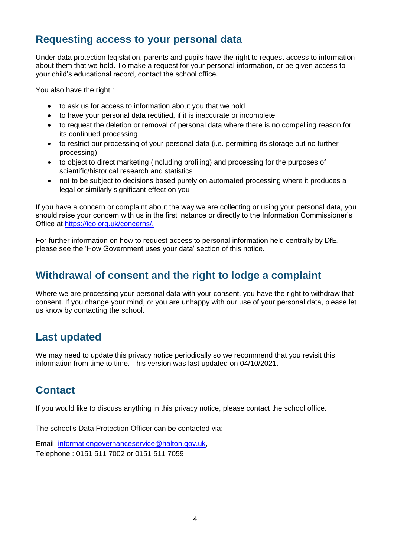### **Requesting access to your personal data**

Under data protection legislation, parents and pupils have the right to request access to information about them that we hold. To make a request for your personal information, or be given access to your child's educational record, contact the school office.

You also have the right :

- to ask us for access to information about you that we hold
- to have your personal data rectified, if it is inaccurate or incomplete
- to request the deletion or removal of personal data where there is no compelling reason for its continued processing
- to restrict our processing of your personal data (i.e. permitting its storage but no further processing)
- to object to direct marketing (including profiling) and processing for the purposes of scientific/historical research and statistics
- not to be subject to decisions based purely on automated processing where it produces a legal or similarly significant effect on you

If you have a concern or complaint about the way we are collecting or using your personal data, you should raise your concern with us in the first instance or directly to the Information Commissioner's Office at [https://ico.org.uk/concerns/.](https://ico.org.uk/concerns/)

For further information on how to request access to personal information held centrally by DfE, please see the 'How Government uses your data' section of this notice.

# **Withdrawal of consent and the right to lodge a complaint**

Where we are processing your personal data with your consent, you have the right to withdraw that consent. If you change your mind, or you are unhappy with our use of your personal data, please let us know by contacting the school.

# **Last updated**

We may need to update this privacy notice periodically so we recommend that you revisit this information from time to time. This version was last updated on 04/10/2021.

# **Contact**

If you would like to discuss anything in this privacy notice, please contact the school office.

The school's Data Protection Officer can be contacted via:

Email [informationgovernanceservice@halton.gov.uk,](mailto:informationgovernanceservice@halton.gov.uk) Telephone : 0151 511 7002 or 0151 511 7059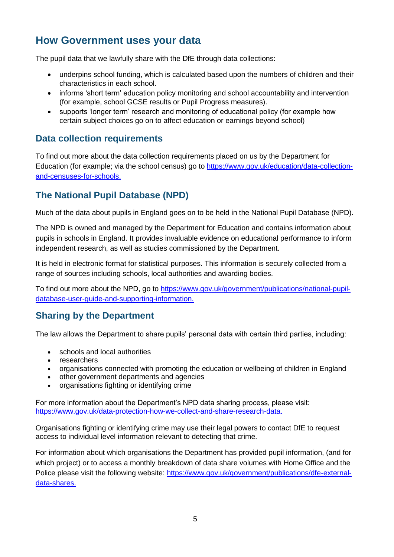## **How Government uses your data**

The pupil data that we lawfully share with the DfE through data collections:

- underpins school funding, which is calculated based upon the numbers of children and their characteristics in each school.
- informs 'short term' education policy monitoring and school accountability and intervention (for example, school GCSE results or Pupil Progress measures).
- supports 'longer term' research and monitoring of educational policy (for example how certain subject choices go on to affect education or earnings beyond school)

#### **Data collection requirements**

To find out more about the data collection requirements placed on us by the Department for Education (for example; via the school census) go to [https://www.gov.uk/education/data-collection](https://www.gov.uk/education/data-collection-and-censuses-for-schools)[and-censuses-for-schools.](https://www.gov.uk/education/data-collection-and-censuses-for-schools)

#### **The National Pupil Database (NPD)**

Much of the data about pupils in England goes on to be held in the National Pupil Database (NPD).

The NPD is owned and managed by the Department for Education and contains information about pupils in schools in England. It provides invaluable evidence on educational performance to inform independent research, as well as studies commissioned by the Department.

It is held in electronic format for statistical purposes. This information is securely collected from a range of sources including schools, local authorities and awarding bodies.

To find out more about the NPD, go to [https://www.gov.uk/government/publications/national-pupil](https://www.gov.uk/government/publications/national-pupil-database-user-guide-and-supporting-information)[database-user-guide-and-supporting-information.](https://www.gov.uk/government/publications/national-pupil-database-user-guide-and-supporting-information)

#### **Sharing by the Department**

The law allows the Department to share pupils' personal data with certain third parties, including:

- schools and local authorities
- researchers
- organisations connected with promoting the education or wellbeing of children in England
- other government departments and agencies
- organisations fighting or identifying crime

For more information about the Department's NPD data sharing process, please visit: [https://www.gov.uk/data-protection-how-we-collect-and-share-research-data.](https://www.gov.uk/data-protection-how-we-collect-and-share-research-data)

Organisations fighting or identifying crime may use their legal powers to contact DfE to request access to individual level information relevant to detecting that crime.

For information about which organisations the Department has provided pupil information, (and for which project) or to access a monthly breakdown of data share volumes with Home Office and the Police please visit the following website: [https://www.gov.uk/government/publications/dfe-external](https://www.gov.uk/government/publications/dfe-external-data-shares)[data-shares.](https://www.gov.uk/government/publications/dfe-external-data-shares)